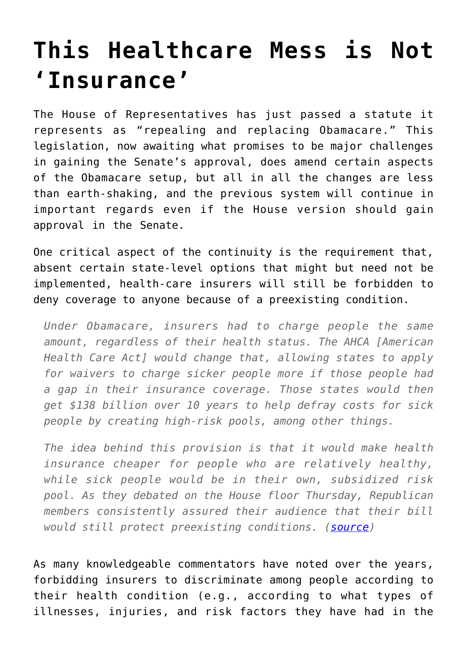## **[This Healthcare Mess is Not](https://intellectualtakeout.org/2017/05/this-healthcare-mess-is-not-insurance/) ['Insurance'](https://intellectualtakeout.org/2017/05/this-healthcare-mess-is-not-insurance/)**

The House of Representatives has just passed a statute it represents as "repealing and replacing Obamacare." This legislation, now awaiting what promises to be major challenges in gaining the Senate's approval, does amend certain aspects of the Obamacare setup, but all in all the changes are less than earth-shaking, and the previous system will continue in important regards even if the House version should gain approval in the Senate.

One critical aspect of the continuity is the requirement that, absent certain state-level options that might but need not be implemented, health-care insurers will still be forbidden to deny coverage to anyone because of a preexisting condition.

*Under Obamacare, insurers had to charge people the same amount, regardless of their health status. The AHCA [American Health Care Act] would change that, allowing states to apply for waivers to charge sicker people more if those people had a gap in their insurance coverage. Those states would then get \$138 billion over 10 years to help defray costs for sick people by creating high-risk pools, among other things.*

*The idea behind this provision is that it would make health insurance cheaper for people who are relatively healthy, while sick people would be in their own, subsidized risk pool. As they debated on the House floor Thursday, Republican members consistently assured their audience that their bill would still protect preexisting conditions. ([source](https://www.theatlantic.com/health/archive/2017/05/how-the-gop-health-bill-affects-sick-people/525477/))*

As many knowledgeable commentators have noted over the years, forbidding insurers to discriminate among people according to their health condition (e.g., according to what types of illnesses, injuries, and risk factors they have had in the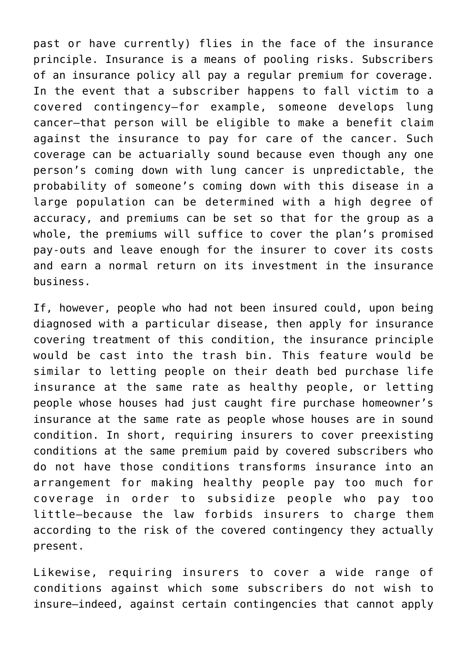past or have currently) flies in the face of the insurance principle. Insurance is a means of pooling risks. Subscribers of an insurance policy all pay a regular premium for coverage. In the event that a subscriber happens to fall victim to a covered contingency—for example, someone develops lung cancer—that person will be eligible to make a benefit claim against the insurance to pay for care of the cancer. Such coverage can be actuarially sound because even though any one person's coming down with lung cancer is unpredictable, the probability of someone's coming down with this disease in a large population can be determined with a high degree of accuracy, and premiums can be set so that for the group as a whole, the premiums will suffice to cover the plan's promised pay-outs and leave enough for the insurer to cover its costs and earn a normal return on its investment in the insurance business.

If, however, people who had not been insured could, upon being diagnosed with a particular disease, then apply for insurance covering treatment of this condition, the insurance principle would be cast into the trash bin. This feature would be similar to letting people on their death bed purchase life insurance at the same rate as healthy people, or letting people whose houses had just caught fire purchase homeowner's insurance at the same rate as people whose houses are in sound condition. In short, requiring insurers to cover preexisting conditions at the same premium paid by covered subscribers who do not have those conditions transforms insurance into an arrangement for making healthy people pay too much for coverage in order to subsidize people who pay too little—because the law forbids insurers to charge them according to the risk of the covered contingency they actually present.

Likewise, requiring insurers to cover a wide range of conditions against which some subscribers do not wish to insure—indeed, against certain contingencies that cannot apply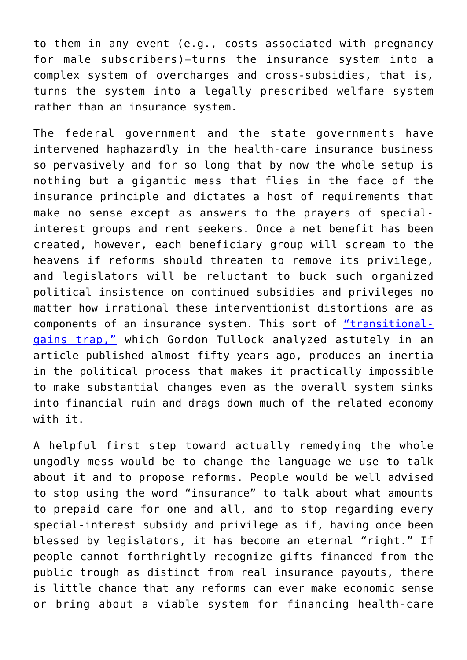to them in any event (e.g., costs associated with pregnancy for male subscribers)—turns the insurance system into a complex system of overcharges and cross-subsidies, that is, turns the system into a legally prescribed welfare system rather than an insurance system.

The federal government and the state governments have intervened haphazardly in the health-care insurance business so pervasively and for so long that by now the whole setup is nothing but a gigantic mess that flies in the face of the insurance principle and dictates a host of requirements that make no sense except as answers to the prayers of specialinterest groups and rent seekers. Once a net benefit has been created, however, each beneficiary group will scream to the heavens if reforms should threaten to remove its privilege, and legislators will be reluctant to buck such organized political insistence on continued subsidies and privileges no matter how irrational these interventionist distortions are as components of an insurance system. This sort of ["transitional](http://www.libertylawsite.org/2013/09/26/the-transitional-gains-trap/)[gains trap,"](http://www.libertylawsite.org/2013/09/26/the-transitional-gains-trap/) which Gordon Tullock analyzed astutely in an article published almost fifty years ago, produces an inertia in the political process that makes it practically impossible to make substantial changes even as the overall system sinks into financial ruin and drags down much of the related economy with it.

A helpful first step toward actually remedying the whole ungodly mess would be to change the language we use to talk about it and to propose reforms. People would be well advised to stop using the word "insurance" to talk about what amounts to prepaid care for one and all, and to stop regarding every special-interest subsidy and privilege as if, having once been blessed by legislators, it has become an eternal "right." If people cannot forthrightly recognize gifts financed from the public trough as distinct from real insurance payouts, there is little chance that any reforms can ever make economic sense or bring about a viable system for financing health-care